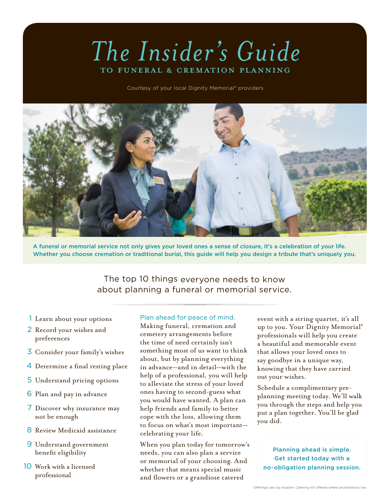# *The Insider's Guide*  to Funeral & Cremation Planning

Courtesy of your local Dignity Memorial® providers



A funeral or memorial service not only gives your loved ones a sense of closure, it's a celebration of your life. Whether you choose cremation or traditional burial, this guide will help you design a tribute that's uniquely you.

The top 10 things everyone needs to know about planning a funeral or memorial service.

- 1 Learn about your options
- 2 Record your wishes and preferences
- 3 Consider your family's wishes
- 4 Determine a final resting place
- 5 Understand pricing options
- 6 Plan and pay in advance
- 7 Discover why insurance may not be enough
- 8 Review Medicaid assistance
- 9 Understand government benefit eligibility
- 10 Work with a licensed professional

#### Plan ahead for peace of mind.

Making funeral, cremation and cemetery arrangements before the time of need certainly isn't something most of us want to think about, but by planning everything in advance—and in detail—with the help of a professional, you will help to alleviate the stress of your loved ones having to second-guess what you would have wanted. A plan can help friends and family to better cope with the loss, allowing them to focus on what's most important celebrating your life.

When you plan today for tomorrow's needs, you can also plan a service or memorial of your choosing. And whether that means special music and flowers or a grandiose catered

event with a string quartet, it's all up to you. Your Dignity Memorial® professionals will help you create a beautiful and memorable event that allows your loved ones to say goodbye in a unique way, knowing that they have carried out your wishes.

Schedule a complimentary preplanning meeting today. We'll walk you through the steps and help you put a plan together. You'll be glad you did.

Planning ahead is simple. Get started today with a no-obligation planning session.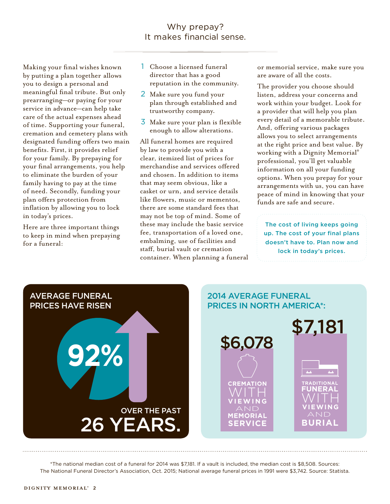Making your final wishes known by putting a plan together allows you to design a personal and meaningful final tribute. But only prearranging—or paying for your service in advance—can help take care of the actual expenses ahead of time. Supporting your funeral, cremation and cemetery plans with designated funding offers two main benefits. First, it provides relief for your family. By prepaying for your final arrangements, you help to eliminate the burden of your family having to pay at the time of need. Secondly, funding your plan offers protection from inflation by allowing you to lock in today's prices.

Here are three important things to keep in mind when prepaying for a funeral:

- 1 Choose a licensed funeral director that has a good reputation in the community.
- 2 Make sure you fund your plan through established and trustworthy company.
- 3 Make sure your plan is flexible enough to allow alterations.

All funeral homes are required by law to provide you with a clear, itemized list of prices for merchandise and services offered and chosen. In addition to items that may seem obvious, like a casket or urn, and service details like flowers, music or mementos, there are some standard fees that may not be top of mind. Some of these may include the basic service fee, transportation of a loved one, embalming, use of facilities and staff, burial vault or cremation container. When planning a funeral or memorial service, make sure you are aware of all the costs.

The provider you choose should listen, address your concerns and work within your budget. Look for a provider that will help you plan every detail of a memorable tribute. And, offering various packages allows you to select arrangements at the right price and best value. By working with a Dignity Memorial® professional, you'll get valuable information on all your funding options. When you prepay for your arrangements with us, you can have peace of mind in knowing that your funds are safe and secure.

The cost of living keeps going up. The cost of your final plans doesn't have to. Plan now and lock in today's prices.



\*The national median cost of a funeral for 2014 was \$7,181. If a vault is included, the median cost is \$8,508. Sources: The National Funeral Director's Association, Oct. 2015; National average funeral prices in 1991 were \$3,742. Source: Statista.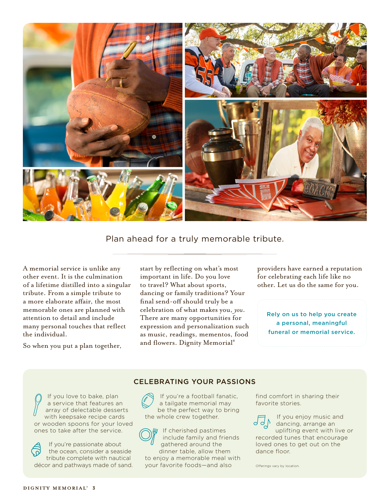

Plan ahead for a truly memorable tribute.

A memorial service is unlike any other event. It is the culmination of a lifetime distilled into a singular tribute. From a simple tribute to a more elaborate affair, the most memorable ones are planned with attention to detail and include many personal touches that reflect the individual.

So when you put a plan together,

start by reflecting on what's most important in life. Do you love to travel? What about sports, dancing or family traditions? Your final send-off should truly be a celebration of what makes you, *you*. There are many opportunities for expression and personalization such as music, readings, mementos, food and flowers. Dignity Memorial®

providers have earned a reputation for celebrating each life like no other. Let us do the same for you.

Rely on us to help you create a personal, meaningful funeral or memorial service.

### CELEBRATING YOUR PASSIONS

If you love to bake, plan a service that features an array of delectable desserts with keepsake recipe cards or wooden spoons for your loved ones to take after the service.



If you're a football fanatic, a tailgate memorial may be the perfect way to bring the whole crew together.



If cherished pastimes include family and friends gathered around the dinner table, allow them

to enjoy a memorable meal with your favorite foods—and also

find comfort in sharing their favorite stories.

If you enjoy music and dancing, arrange an uplifting event with live or recorded tunes that encourage loved ones to get out on the dance floor.

Offerings vary by location.